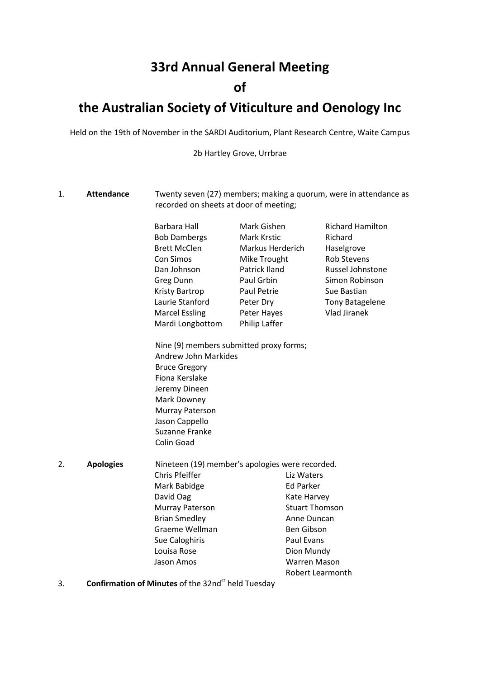# **33rd Annual General Meeting**

## **of**

## **the Australian Society of Viticulture and Oenology Inc**

Held on the 19th of November in the SARDI Auditorium, Plant Research Centre, Waite Campus

2b Hartley Grove, Urrbrae

- 1. **Attendance** Twenty seven (27) members; making a quorum, were in attendance as recorded on sheets at door of meeting; Barbara Hall Bob Dambergs Brett McClen Con Simos Dan Johnson Greg Dunn Kristy Bartrop Laurie Stanford Marcel Essling Mardi Longbottom Mark Gishen Mark Krstic Markus Herderich Mike Trought Patrick Iland Paul Grbin Paul Petrie Peter Dry Peter Hayes Philip Laffer Richard Hamilton Richard Haselgrove Rob Stevens Russel Johnstone Simon Robinson Sue Bastian Tony Batagelene Vlad Jiranek Nine (9) members submitted proxy forms; Andrew John Markides Bruce Gregory Fiona Kerslake Jeremy Dineen Mark Downey Murray Paterson Jason Cappello Suzanne Franke Colin Goad 2. **Apologies** Nineteen (19) member's apologies were recorded. Chris Pfeiffer Mark Babidge David Oag Murray Paterson Brian Smedley Graeme Wellman Sue Caloghiris Louisa Rose Jason Amos Liz Waters Ed Parker Kate Harvey Stuart Thomson Anne Duncan Ben Gibson Paul Evans Dion Mundy Warren Mason Robert Learmonth
- 3. **Confirmation of Minutes** of the 32nd<sup>st</sup> held Tuesday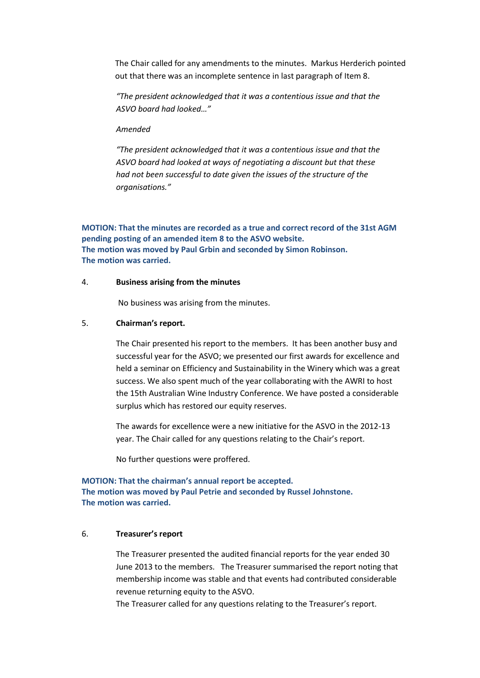The Chair called for any amendments to the minutes. Markus Herderich pointed out that there was an incomplete sentence in last paragraph of Item 8.

*"The president acknowledged that it was a contentious issue and that the ASVO board had looked…"*

### *Amended*

*"The president acknowledged that it was a contentious issue and that the ASVO board had looked at ways of negotiating a discount but that these had not been successful to date given the issues of the structure of the organisations."*

**MOTION: That the minutes are recorded as a true and correct record of the 31st AGM pending posting of an amended item 8 to the ASVO website. The motion was moved by Paul Grbin and seconded by Simon Robinson. The motion was carried.**

## 4. **Business arising from the minutes**

No business was arising from the minutes.

### 5. **Chairman's report.**

The Chair presented his report to the members. It has been another busy and successful year for the ASVO; we presented our first awards for excellence and held a seminar on Efficiency and Sustainability in the Winery which was a great success. We also spent much of the year collaborating with the AWRI to host the 15th Australian Wine Industry Conference. We have posted a considerable surplus which has restored our equity reserves.

The awards for excellence were a new initiative for the ASVO in the 2012-13 year. The Chair called for any questions relating to the Chair's report.

No further questions were proffered.

## **MOTION: That the chairman's annual report be accepted.**

**The motion was moved by Paul Petrie and seconded by Russel Johnstone. The motion was carried.**

## 6. **Treasurer's report**

The Treasurer presented the audited financial reports for the year ended 30 June 2013 to the members. The Treasurer summarised the report noting that membership income was stable and that events had contributed considerable revenue returning equity to the ASVO.

The Treasurer called for any questions relating to the Treasurer's report.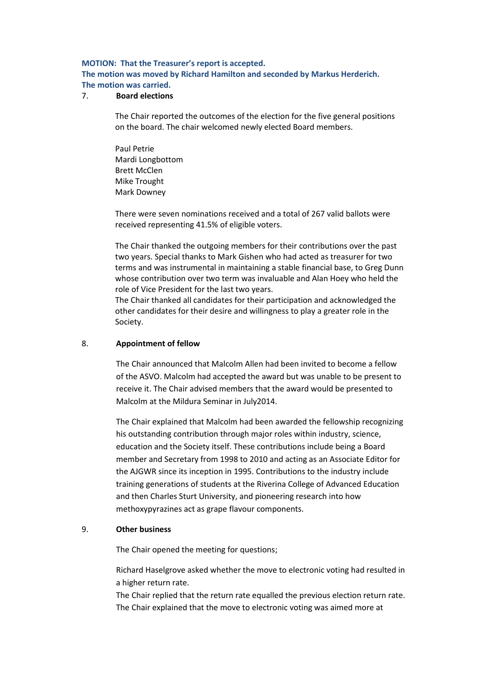## **MOTION: That the Treasurer's report is accepted.**

**The motion was moved by Richard Hamilton and seconded by Markus Herderich. The motion was carried.**

## 7. **Board elections**

The Chair reported the outcomes of the election for the five general positions on the board. The chair welcomed newly elected Board members.

Paul Petrie Mardi Longbottom Brett McClen Mike Trought Mark Downey

There were seven nominations received and a total of 267 valid ballots were received representing 41.5% of eligible voters.

The Chair thanked the outgoing members for their contributions over the past two years. Special thanks to Mark Gishen who had acted as treasurer for two terms and was instrumental in maintaining a stable financial base, to Greg Dunn whose contribution over two term was invaluable and Alan Hoey who held the role of Vice President for the last two years.

The Chair thanked all candidates for their participation and acknowledged the other candidates for their desire and willingness to play a greater role in the Society.

## 8. **Appointment of fellow**

The Chair announced that Malcolm Allen had been invited to become a fellow of the ASVO. Malcolm had accepted the award but was unable to be present to receive it. The Chair advised members that the award would be presented to Malcolm at the Mildura Seminar in July2014.

The Chair explained that Malcolm had been awarded the fellowship recognizing his outstanding contribution through major roles within industry, science, education and the Society itself. These contributions include being a Board member and Secretary from 1998 to 2010 and acting as an Associate Editor for the AJGWR since its inception in 1995. Contributions to the industry include training generations of students at the Riverina College of Advanced Education and then Charles Sturt University, and pioneering research into how methoxypyrazines act as grape flavour components.

#### 9. **Other business**

The Chair opened the meeting for questions;

Richard Haselgrove asked whether the move to electronic voting had resulted in a higher return rate.

The Chair replied that the return rate equalled the previous election return rate. The Chair explained that the move to electronic voting was aimed more at